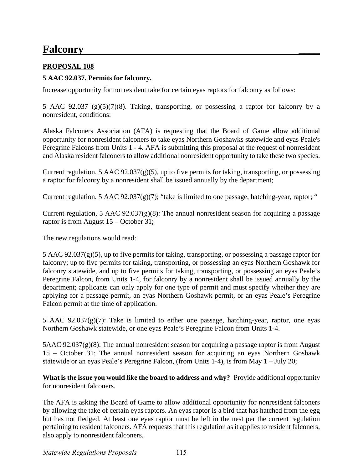# **Falconry \_\_\_\_**

# **PROPOSAL 108**

# **5 AAC 92.037. Permits for falconry.**

Increase opportunity for nonresident take for certain eyas raptors for falconry as follows:

5 AAC 92.037 (g)(5)(7)(8). Taking, transporting, or possessing a raptor for falconry by a nonresident, conditions:

Alaska Falconers Association (AFA) is requesting that the Board of Game allow additional opportunity for nonresident falconers to take eyas Northern Goshawks statewide and eyas Peale's Peregrine Falcons from Units 1 - 4. AFA is submitting this proposal at the request of nonresident and Alaska resident falconers to allow additional nonresident opportunity to take these two species.

a raptor for falconry by a nonresident shall be issued annually by the department; Current regulation, 5 AAC  $92.037(g)(5)$ , up to five permits for taking, transporting, or possessing

Current regulation. 5 AAC 92.037(g)(7); "take is limited to one passage, hatching-year, raptor; "

Current regulation, 5 AAC 92.037(g)(8): The annual nonresident season for acquiring a passage raptor is from August 15 – October 31;

The new regulations would read:

 applying for a passage permit, an eyas Northern Goshawk permit, or an eyas Peale's Peregrine  $5$  AAC 92.037(g)(5), up to five permits for taking, transporting, or possessing a passage raptor for falconry; up to five permits for taking, transporting, or possessing an eyas Northern Goshawk for falconry statewide, and up to five permits for taking, transporting, or possessing an eyas Peale's Peregrine Falcon, from Units 1-4, for falconry by a nonresident shall be issued annually by the department; applicants can only apply for one type of permit and must specify whether they are Falcon permit at the time of application.

5 AAC  $92.037(g)(7)$ : Take is limited to either one passage, hatching-year, raptor, one eyas Northern Goshawk statewide, or one eyas Peale's Peregrine Falcon from Units 1-4.

 statewide or an eyas Peale's Peregrine Falcon, (from Units 1-4), is from May 1 – July 20; 5AAC 92.037(g)(8): The annual nonresident season for acquiring a passage raptor is from August 15 – October 31; The annual nonresident season for acquiring an eyas Northern Goshawk

 **What is the issue you would like the board to address and why?** Provide additional opportunity for nonresident falconers.

 The AFA is asking the Board of Game to allow additional opportunity for nonresident falconers by allowing the take of certain eyas raptors. An eyas raptor is a bird that has hatched from the egg but has not fledged. At least one eyas raptor must be left in the nest per the current regulation pertaining to resident falconers. AFA requests that this regulation as it applies to resident falconers, also apply to nonresident falconers.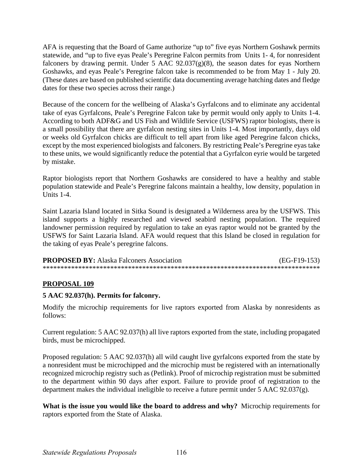AFA is requesting that the Board of Game authorize "up to" five eyas Northern Goshawk permits statewide, and "up to five eyas Peale's Peregrine Falcon permits from Units 1- 4, for nonresident falconers by drawing permit. Under 5 AAC  $92.037(g)(8)$ , the season dates for eyas Northern Goshawks, and eyas Peale's Peregrine falcon take is recommended to be from May 1 - July 20. (These dates are based on published scientific data documenting average hatching dates and fledge dates for these two species across their range.)

Because of the concern for the wellbeing of Alaska's Gyrfalcons and to eliminate any accidental take of eyas Gyrfalcons, Peale's Peregrine Falcon take by permit would only apply to Units 1-4. According to both ADF&G and US Fish and Wildlife Service (USFWS) raptor biologists, there is a small possibility that there are gyrfalcon nesting sites in Units 1-4. Most importantly, days old or weeks old Gyrfalcon chicks are difficult to tell apart from like aged Peregrine falcon chicks, except by the most experienced biologists and falconers. By restricting Peale's Peregrine eyas take to these units, we would significantly reduce the potential that a Gyrfalcon eyrie would be targeted by mistake.

Raptor biologists report that Northern Goshawks are considered to have a healthy and stable population statewide and Peale's Peregrine falcons maintain a healthy, low density, population in Units 1-4.

Saint Lazaria Island located in Sitka Sound is designated a Wilderness area by the USFWS. This island supports a highly researched and viewed seabird nesting population. The required landowner permission required by regulation to take an eyas raptor would not be granted by the USFWS for Saint Lazaria Island. AFA would request that this Island be closed in regulation for the taking of eyas Peale's peregrine falcons.

| <b>PROPOSED BY:</b> Alaska Falconers Association | $(EG-F19-153)$ |
|--------------------------------------------------|----------------|
|                                                  |                |

# **PROPOSAL 109**

## **5 AAC 92.037(h). Permits for falconry.**

Modify the microchip requirements for live raptors exported from Alaska by nonresidents as follows:

Current regulation: 5 AAC 92.037(h) all live raptors exported from the state, including propagated birds, must be microchipped.

Proposed regulation: 5 AAC 92.037(h) all wild caught live gyrfalcons exported from the state by a nonresident must be microchipped and the microchip must be registered with an internationally recognized microchip registry such as (Petlink). Proof of microchip registration must be submitted to the department within 90 days after export. Failure to provide proof of registration to the department makes the individual ineligible to receive a future permit under 5 AAC 92.037(g).

**What is the issue you would like the board to address and why?** Microchip requirements for raptors exported from the State of Alaska.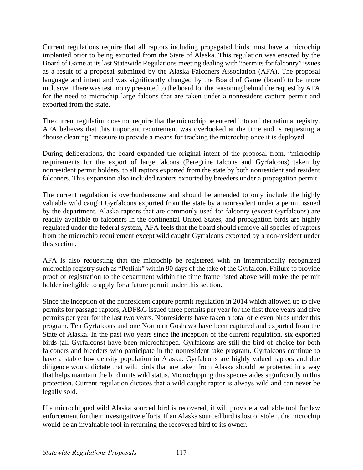Board of Game at its last Statewide Regulations meeting dealing with "permits for falconry" issues Current regulations require that all raptors including propagated birds must have a microchip implanted prior to being exported from the State of Alaska. This regulation was enacted by the as a result of a proposal submitted by the Alaska Falconers Association (AFA). The proposal language and intent and was significantly changed by the Board of Game (board) to be more inclusive. There was testimony presented to the board for the reasoning behind the request by AFA for the need to microchip large falcons that are taken under a nonresident capture permit and exported from the state.

The current regulation does not require that the microchip be entered into an international registry. AFA believes that this important requirement was overlooked at the time and is requesting a "house cleaning" measure to provide a means for tracking the microchip once it is deployed.

During deliberations, the board expanded the original intent of the proposal from, "microchip requirements for the export of large falcons (Peregrine falcons and Gyrfalcons) taken by nonresident permit holders, to all raptors exported from the state by both nonresident and resident falconers. This expansion also included raptors exported by breeders under a propagation permit.

The current regulation is overburdensome and should be amended to only include the highly valuable wild caught Gyrfalcons exported from the state by a nonresident under a permit issued by the department. Alaska raptors that are commonly used for falconry (except Gyrfalcons) are readily available to falconers in the continental United States, and propagation birds are highly regulated under the federal system, AFA feels that the board should remove all species of raptors from the microchip requirement except wild caught Gyrfalcons exported by a non-resident under this section.

AFA is also requesting that the microchip be registered with an internationally recognized microchip registry such as "Petlink" within 90 days of the take of the Gyrfalcon. Failure to provide proof of registration to the department within the time frame listed above will make the permit holder ineligible to apply for a future permit under this section.

 permits for passage raptors, ADF&G issued three permits per year for the first three years and five have a stable low density population in Alaska. Gyrfalcons are highly valued raptors and due protection. Current regulation dictates that a wild caught raptor is always wild and can never be Since the inception of the nonresident capture permit regulation in 2014 which allowed up to five permits per year for the last two years. Nonresidents have taken a total of eleven birds under this program. Ten Gyrfalcons and one Northern Goshawk have been captured and exported from the State of Alaska. In the past two years since the inception of the current regulation, six exported birds (all Gyrfalcons) have been microchipped. Gyrfalcons are still the bird of choice for both falconers and breeders who participate in the nonresident take program. Gyrfalcons continue to diligence would dictate that wild birds that are taken from Alaska should be protected in a way that helps maintain the bird in its wild status. Microchipping this species aides significantly in this legally sold.

If a microchipped wild Alaska sourced bird is recovered, it will provide a valuable tool for law enforcement for their investigative efforts. If an Alaska sourced bird is lost or stolen, the microchip would be an invaluable tool in returning the recovered bird to its owner.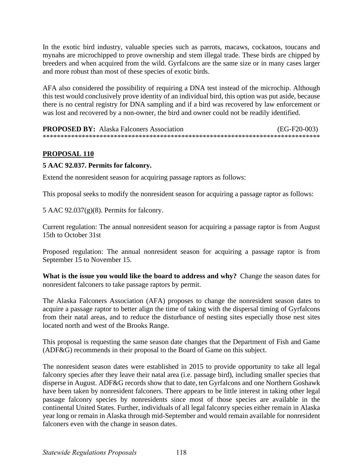In the exotic bird industry, valuable species such as parrots, macaws, cockatoos, toucans and mynahs are microchipped to prove ownership and stem illegal trade. These birds are chipped by breeders and when acquired from the wild. Gyrfalcons are the same size or in many cases larger and more robust than most of these species of exotic birds.

AFA also considered the possibility of requiring a DNA test instead of the microchip. Although this test would conclusively prove identity of an individual bird, this option was put aside, because there is no central registry for DNA sampling and if a bird was recovered by law enforcement or was lost and recovered by a non-owner, the bird and owner could not be readily identified.

| <b>PROPOSED BY:</b> Alaska Falconers Association | $(EG-F20-003)$ |
|--------------------------------------------------|----------------|
|                                                  |                |

# **PROPOSAL 110**

#### **5 AAC 92.037. Permits for falconry.**

Extend the nonresident season for acquiring passage raptors as follows:

This proposal seeks to modify the nonresident season for acquiring a passage raptor as follows:

5 AAC 92.037(g)(8). Permits for falconry.

Current regulation: The annual nonresident season for acquiring a passage raptor is from August 15th to October 31st

Proposed regulation: The annual nonresident season for acquiring a passage raptor is from September 15 to November 15.

What is the issue you would like the board to address and why? Change the season dates for nonresident falconers to take passage raptors by permit.

The Alaska Falconers Association (AFA) proposes to change the nonresident season dates to acquire a passage raptor to better align the time of taking with the dispersal timing of Gyrfalcons from their natal areas, and to reduce the disturbance of nesting sites especially those nest sites located north and west of the Brooks Range.

This proposal is requesting the same season date changes that the Department of Fish and Game (ADF&G) recommends in their proposal to the Board of Game on this subject.

The nonresident season dates were established in 2015 to provide opportunity to take all legal falconry species after they leave their natal area (i.e. passage bird), including smaller species that disperse in August. ADF&G records show that to date, ten Gyrfalcons and one Northern Goshawk have been taken by nonresident falconers. There appears to be little interest in taking other legal passage falconry species by nonresidents since most of those species are available in the continental United States. Further, individuals of all legal falconry species either remain in Alaska year long or remain in Alaska through mid-September and would remain available for nonresident falconers even with the change in season dates.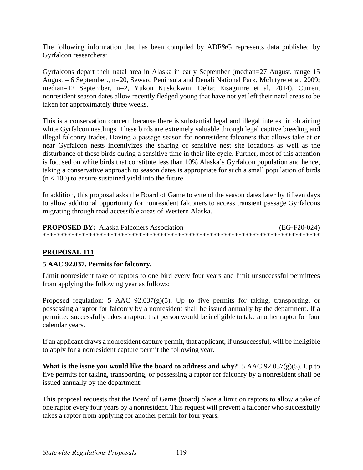The following information that has been compiled by ADF&G represents data published by Gyrfalcon researchers:

 August – 6 September., n=20, Seward Peninsula and Denali National Park, McIntyre et al. 2009; nonresident season dates allow recently fledged young that have not yet left their natal areas to be Gyrfalcons depart their natal area in Alaska in early September (median=27 August, range 15 median=12 September, n=2, Yukon Kuskokwim Delta; Eisaguirre et al. 2014). Current taken for approximately three weeks.

This is a conservation concern because there is substantial legal and illegal interest in obtaining white Gyrfalcon nestlings. These birds are extremely valuable through legal captive breeding and illegal falconry trades. Having a passage season for nonresident falconers that allows take at or near Gyrfalcon nests incentivizes the sharing of sensitive nest site locations as well as the disturbance of these birds during a sensitive time in their life cycle. Further, most of this attention is focused on white birds that constitute less than 10% Alaska's Gyrfalcon population and hence, taking a conservative approach to season dates is appropriate for such a small population of birds  $(n < 100)$  to ensure sustained yield into the future.

In addition, this proposal asks the Board of Game to extend the season dates later by fifteen days to allow additional opportunity for nonresident falconers to access transient passage Gyrfalcons migrating through road accessible areas of Western Alaska.

**PROPOSED BY:** Alaska Falconers Association (EG-F20-024) \*\*\*\*\*\*\*\*\*\*\*\*\*\*\*\*\*\*\*\*\*\*\*\*\*\*\*\*\*\*\*\*\*\*\*\*\*\*\*\*\*\*\*\*\*\*\*\*\*\*\*\*\*\*\*\*\*\*\*\*\*\*\*\*\*\*\*\*\*\*\*\*\*\*\*\*\*\*

## **PROPOSAL 111**

## **5 AAC 92.037. Permits for falconry.**

from applying the following year as follows: Limit nonresident take of raptors to one bird every four years and limit unsuccessful permittees

Proposed regulation: 5 AAC 92.037(g)(5). Up to five permits for taking, transporting, or possessing a raptor for falconry by a nonresident shall be issued annually by the department. If a permittee successfully takes a raptor, that person would be ineligible to take another raptor for four calendar years.

If an applicant draws a nonresident capture permit, that applicant, if unsuccessful, will be ineligible to apply for a nonresident capture permit the following year.

**What is the issue you would like the board to address and why?** 5 AAC 92.037(g)(5). Up to five permits for taking, transporting, or possessing a raptor for falconry by a nonresident shall be issued annually by the department:

This proposal requests that the Board of Game (board) place a limit on raptors to allow a take of one raptor every four years by a nonresident. This request will prevent a falconer who successfully takes a raptor from applying for another permit for four years.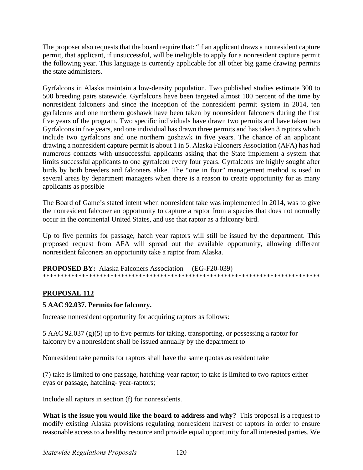The proposer also requests that the board require that: "if an applicant draws a nonresident capture permit, that applicant, if unsuccessful, will be ineligible to apply for a nonresident capture permit the following year. This language is currently applicable for all other big game drawing permits the state administers.

applicants as possible Gyrfalcons in Alaska maintain a low-density population. Two published studies estimate 300 to 500 breeding pairs statewide. Gyrfalcons have been targeted almost 100 percent of the time by nonresident falconers and since the inception of the nonresident permit system in 2014, ten gyrfalcons and one northern goshawk have been taken by nonresident falconers during the first five years of the program. Two specific individuals have drawn two permits and have taken two Gyrfalcons in five years, and one individual has drawn three permits and has taken 3 raptors which include two gyrfalcons and one northern goshawk in five years. The chance of an applicant drawing a nonresident capture permit is about 1 in 5. Alaska Falconers Association (AFA) has had numerous contacts with unsuccessful applicants asking that the State implement a system that limits successful applicants to one gyrfalcon every four years. Gyrfalcons are highly sought after birds by both breeders and falconers alike. The "one in four" management method is used in several areas by department managers when there is a reason to create opportunity for as many

The Board of Game's stated intent when nonresident take was implemented in 2014, was to give the nonresident falconer an opportunity to capture a raptor from a species that does not normally occur in the continental United States, and use that raptor as a falconry bird.

Up to five permits for passage, hatch year raptors will still be issued by the department. This proposed request from AFA will spread out the available opportunity, allowing different nonresident falconers an opportunity take a raptor from Alaska.

 **PROPOSED BY:** Alaska Falconers Association (EG-F20-039) \*\*\*\*\*\*\*\*\*\*\*\*\*\*\*\*\*\*\*\*\*\*\*\*\*\*\*\*\*\*\*\*\*\*\*\*\*\*\*\*\*\*\*\*\*\*\*\*\*\*\*\*\*\*\*\*\*\*\*\*\*\*\*\*\*\*\*\*\*\*\*\*\*\*\*\*\*\*

# **PROPOSAL 112**

## **5 AAC 92.037. Permits for falconry.**

Increase nonresident opportunity for acquiring raptors as follows:

5 AAC 92.037 (g)(5) up to five permits for taking, transporting, or possessing a raptor for falconry by a nonresident shall be issued annually by the department to

Nonresident take permits for raptors shall have the same quotas as resident take

(7) take is limited to one passage, hatching-year raptor; to take is limited to two raptors either eyas or passage, hatching- year-raptors;

Include all raptors in section (f) for nonresidents.

What is the issue you would like the board to address and why? This proposal is a request to modify existing Alaska provisions regulating nonresident harvest of raptors in order to ensure reasonable access to a healthy resource and provide equal opportunity for all interested parties. We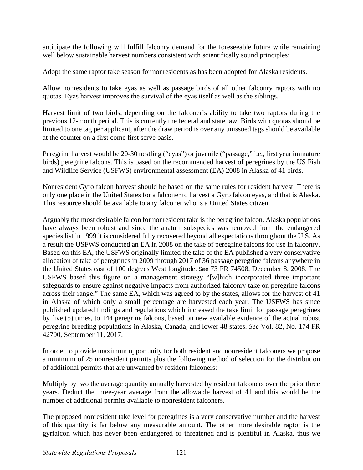anticipate the following will fulfill falconry demand for the foreseeable future while remaining well below sustainable harvest numbers consistent with scientifically sound principles:

Adopt the same raptor take season for nonresidents as has been adopted for Alaska residents.

 Allow nonresidents to take eyas as well as passage birds of all other falconry raptors with no quotas. Eyas harvest improves the survival of the eyas itself as well as the siblings.

Harvest limit of two birds, depending on the falconer's ability to take two raptors during the previous 12-month period. This is currently the federal and state law. Birds with quotas should be limited to one tag per applicant, after the draw period is over any unissued tags should be available at the counter on a first come first serve basis.

Peregrine harvest would be 20-30 nestling ("eyas") or juvenile ("passage," i.e., first year immature birds) peregrine falcons. This is based on the recommended harvest of peregrines by the US Fish and Wildlife Service (USFWS) environmental assessment (EA) 2008 in Alaska of 41 birds.

 Nonresident Gyro falcon harvest should be based on the same rules for resident harvest. There is only one place in the United States for a falconer to harvest a Gyro falcon eyas, and that is Alaska. This resource should be available to any falconer who is a United States citizen.

Arguably the most desirable falcon for nonresident take is the peregrine falcon. Alaska populations have always been robust and since the anatum subspecies was removed from the endangered species list in 1999 it is considered fully recovered beyond all expectations throughout the U.S. As a result the USFWS conducted an EA in 2008 on the take of peregrine falcons for use in falconry. Based on this EA, the USFWS originally limited the take of the EA published a very conservative allocation of take of peregrines in 2009 through 2017 of 36 passage peregrine falcons anywhere in the United States east of 100 degrees West longitude. See 73 FR 74508, December 8, 2008. The USFWS based this figure on a management strategy "[w]hich incorporated three important safeguards to ensure against negative impacts from authorized falconry take on peregrine falcons across their range." The same EA, which was agreed to by the states, allows for the harvest of 41 in Alaska of which only a small percentage are harvested each year. The USFWS has since published updated findings and regulations which increased the take limit for passage peregrines by five (5) times, to 144 peregrine falcons, based on new available evidence of the actual robust peregrine breeding populations in Alaska, Canada, and lower 48 states. *See* Vol. 82, No. 174 FR 42700, September 11, 2017.

In order to provide maximum opportunity for both resident and nonresident falconers we propose a minimum of 25 nonresident permits plus the following method of selection for the distribution of additional permits that are unwanted by resident falconers:

Multiply by two the average quantity annually harvested by resident falconers over the prior three years. Deduct the three-year average from the allowable harvest of 41 and this would be the number of additional permits available to nonresident falconers.

The proposed nonresident take level for peregrines is a very conservative number and the harvest of this quantity is far below any measurable amount. The other more desirable raptor is the gyrfalcon which has never been endangered or threatened and is plentiful in Alaska, thus we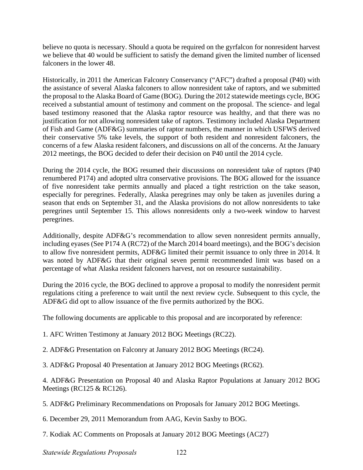believe no quota is necessary. Should a quota be required on the gyrfalcon for nonresident harvest we believe that 40 would be sufficient to satisfy the demand given the limited number of licensed falconers in the lower 48.

the proposal to the Alaska Board of Game (BOG). During the 2012 statewide meetings cycle, BOG justification for not allowing nonresident take of raptors. Testimony included Alaska Department Historically, in 2011 the American Falconry Conservancy ("AFC") drafted a proposal (P40) with the assistance of several Alaska falconers to allow nonresident take of raptors, and we submitted received a substantial amount of testimony and comment on the proposal. The science- and legal based testimony reasoned that the Alaska raptor resource was healthy, and that there was no of Fish and Game (ADF&G) summaries of raptor numbers, the manner in which USFWS derived their conservative 5% take levels, the support of both resident and nonresident falconers, the concerns of a few Alaska resident falconers, and discussions on all of the concerns. At the January 2012 meetings, the BOG decided to defer their decision on P40 until the 2014 cycle.

During the 2014 cycle, the BOG resumed their discussions on nonresident take of raptors (P40 renumbered P174) and adopted ultra conservative provisions. The BOG allowed for the issuance of five nonresident take permits annually and placed a tight restriction on the take season, especially for peregrines. Federally, Alaska peregrines may only be taken as juveniles during a season that ends on September 31, and the Alaska provisions do not allow nonresidents to take peregrines until September 15. This allows nonresidents only a two-week window to harvest peregrines.

Additionally, despite ADF&G's recommendation to allow seven nonresident permits annually, including eyases (See P174 A (RC72) of the March 2014 board meetings), and the BOG's decision to allow five nonresident permits, ADF&G limited their permit issuance to only three in 2014. It was noted by ADF&G that their original seven permit recommended limit was based on a percentage of what Alaska resident falconers harvest, not on resource sustainability.

During the 2016 cycle, the BOG declined to approve a proposal to modify the nonresident permit regulations citing a preference to wait until the next review cycle. Subsequent to this cycle, the ADF&G did opt to allow issuance of the five permits authorized by the BOG.

The following documents are applicable to this proposal and are incorporated by reference:

1. AFC Written Testimony at January 2012 BOG Meetings (RC22).

2. ADF&G Presentation on Falconry at January 2012 BOG Meetings (RC24).

3. ADF&G Proposal 40 Presentation at January 2012 BOG Meetings (RC62).

4. ADF&G Presentation on Proposal 40 and Alaska Raptor Populations at January 2012 BOG Meetings (RC125 & RC126).

5. ADF&G Preliminary Recommendations on Proposals for January 2012 BOG Meetings.

6. December 29, 2011 Memorandum from AAG, Kevin Saxby to BOG.

7. Kodiak AC Comments on Proposals at January 2012 BOG Meetings (AC27)

*Statewide Regulations Proposals* 122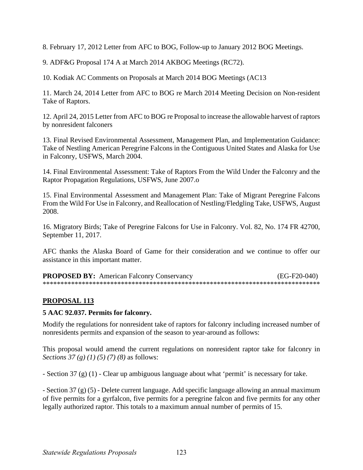8. February 17, 2012 Letter from AFC to BOG, Follow-up to January 2012 BOG Meetings.

9. ADF&G Proposal 174 A at March 2014 AKBOG Meetings (RC72).

10. Kodiak AC Comments on Proposals at March 2014 BOG Meetings (AC13

11. March 24, 2014 Letter from AFC to BOG re March 2014 Meeting Decision on Non-resident Take of Raptors.

12. April 24, 2015 Letter from AFC to BOG re Proposal to increase the allowable harvest of raptors by nonresident falconers

13. Final Revised Environmental Assessment, Management Plan, and Implementation Guidance: Take of Nestling American Peregrine Falcons in the Contiguous United States and Alaska for Use in Falconry, USFWS, March 2004.

14. Final Environmental Assessment: Take of Raptors From the Wild Under the Falconry and the Raptor Propagation Regulations, USFWS, June 2007.o

15. Final Environmental Assessment and Management Plan: Take of Migrant Peregrine Falcons From the Wild For Use in Falconry, and Reallocation of Nestling/Fledgling Take, USFWS, August 2008.

16. Migratory Birds; Take of Peregrine Falcons for Use in Falconry. Vol. 82, No. 174 FR 42700, September 11, 2017.

AFC thanks the Alaska Board of Game for their consideration and we continue to offer our assistance in this important matter.

**PROPOSED BY:** American Falconry Conservancy (EG-F20-040) \*\*\*\*\*\*\*\*\*\*\*\*\*\*\*\*\*\*\*\*\*\*\*\*\*\*\*\*\*\*\*\*\*\*\*\*\*\*\*\*\*\*\*\*\*\*\*\*\*\*\*\*\*\*\*\*\*\*\*\*\*\*\*\*\*\*\*\*\*\*\*\*\*\*\*\*\*\*

## **PROPOSAL 113**

#### **5 AAC 92.037. Permits for falconry.**

Modify the regulations for nonresident take of raptors for falconry including increased number of nonresidents permits and expansion of the season to year-around as follows:

 This proposal would amend the current regulations on nonresident raptor take for falconry in *Sections 37 (g) (1) (5) (7) (8)* as follows:

- Section 37 (g) (1) - Clear up ambiguous language about what 'permit' is necessary for take.

- Section 37 (g) (5) - Delete current language. Add specific language allowing an annual maximum of five permits for a gyrfalcon, five permits for a peregrine falcon and five permits for any other legally authorized raptor. This totals to a maximum annual number of permits of 15.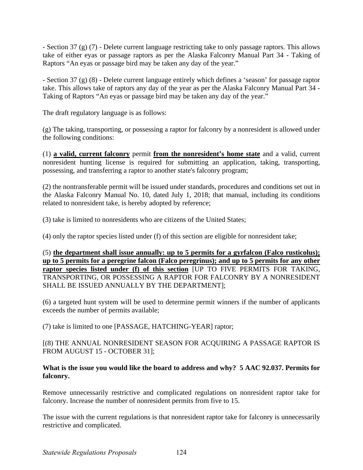- Section 37 (g) (7) - Delete current language restricting take to only passage raptors. This allows take of either eyas or passage raptors as per the Alaska Falconry Manual Part 34 - Taking of Raptors "An eyas or passage bird may be taken any day of the year."

- Section 37 (g) (8) - Delete current language entirely which defines a 'season' for passage raptor take. This allows take of raptors any day of the year as per the Alaska Falconry Manual Part 34 - Taking of Raptors "An eyas or passage bird may be taken any day of the year."

The draft regulatory language is as follows:

the following conditions: (g) The taking, transporting, or possessing a raptor for falconry by a nonresident is allowed under

possessing, and transferring a raptor to another state's falconry program; the following conditions: (1) **a valid, current falconry** permit **from the nonresident's home state** and a valid, current nonresident hunting license is required for submitting an application, taking, transporting,

related to nonresident take, is hereby adopted by reference; (2) the nontransferable permit will be issued under standards, procedures and conditions set out in the Alaska Falconry Manual No. 10, dated July 1, 2018; that manual, including its conditions

 $r(3)$  take is limited to nonresidents who are citizens of the United States;

(4) only the raptor species listed under (f) of this section are eligible for nonresident take;

(5) <u>the department shall issue annually: up to 5 permits for a gyrfalcon (Falco rusticolus);</u> **up to 5 permits for a peregrine falcon (Falco peregrinus); and up to 5 permits for any other raptor species listed under (f) of this section** [UP TO FIVE PERMITS FOR TAKING, TRANSPORTING, OR POSSESSING A RAPTOR FOR FALCONRY BY A NONRESIDENT SHALL BE ISSUED ANNUALLY BY THE DEPARTMENT];

(6) a targeted hunt system will be used to determine permit winners if the number of applicants exceeds the number of permits available;

(7) take is limited to one [PASSAGE, HATCHING-YEAR] raptor;

[(8) THE ANNUAL NONRESIDENT SEASON FOR ACQUIRING A PASSAGE RAPTOR IS FROM AUGUST 15 - OCTOBER 31];

#### **What is the issue you would like the board to address and why? 5 AAC 92.037. Permits for falconry.**

Remove unnecessarily restrictive and complicated regulations on nonresident raptor take for falconry. Increase the number of nonresident permits from five to 15.

The issue with the current regulations is that nonresident raptor take for falconry is unnecessarily restrictive and complicated.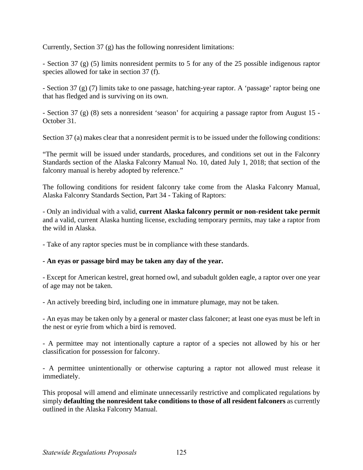Currently, Section 37 (g) has the following nonresident limitations:

- Section 37 (g) (5) limits nonresident permits to 5 for any of the 25 possible indigenous raptor species allowed for take in section 37 (f).

- Section 37 (g) (7) limits take to one passage, hatching-year raptor. A 'passage' raptor being one that has fledged and is surviving on its own.

- Section 37 (g) (8) sets a nonresident 'season' for acquiring a passage raptor from August 15 - October 31.

Section 37 (a) makes clear that a nonresident permit is to be issued under the following conditions:

"The permit will be issued under standards, procedures, and conditions set out in the Falconry Standards section of the Alaska Falconry Manual No. 10, dated July 1, 2018; that section of the falconry manual is hereby adopted by reference."

 The following conditions for resident falconry take come from the Alaska Falconry Manual, Alaska Falconry Standards Section, Part 34 - Taking of Raptors:

- Only an individual with a valid, **current Alaska falconry permit or non-resident take permit**  and a valid, current Alaska hunting license, excluding temporary permits, may take a raptor from the wild in Alaska.

- Take of any raptor species must be in compliance with these standards.

#### **- An eyas or passage bird may be taken any day of the year.**

- Except for American kestrel, great horned owl, and subadult golden eagle, a raptor over one year of age may not be taken.

- An actively breeding bird, including one in immature plumage, may not be taken.

- An eyas may be taken only by a general or master class falconer; at least one eyas must be left in the nest or eyrie from which a bird is removed.

- A permittee may not intentionally capture a raptor of a species not allowed by his or her classification for possession for falconry.

- A permittee unintentionally or otherwise capturing a raptor not allowed must release it immediately.

This proposal will amend and eliminate unnecessarily restrictive and complicated regulations by simply **defaulting the nonresident take conditions to those of all resident falconers** as currently outlined in the Alaska Falconry Manual.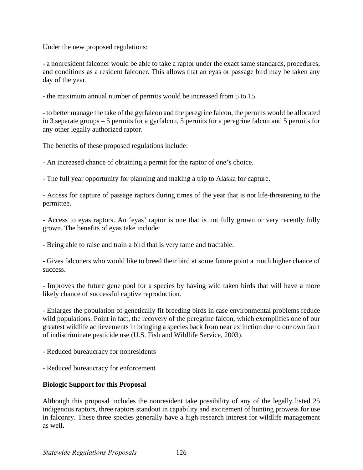Under the new proposed regulations:

 - a nonresident falconer would be able to take a raptor under the exact same standards, procedures, and conditions as a resident falconer. This allows that an eyas or passage bird may be taken any day of the year.

- the maximum annual number of permits would be increased from 5 to 15.

- to better manage the take of the gyrfalcon and the peregrine falcon, the permits would be allocated in 3 separate groups – 5 permits for a gyrfalcon, 5 permits for a peregrine falcon and 5 permits for any other legally authorized raptor.

The benefits of these proposed regulations include:

- An increased chance of obtaining a permit for the raptor of one's choice.

- The full year opportunity for planning and making a trip to Alaska for capture.

- Access for capture of passage raptors during times of the year that is not life-threatening to the permittee.

- Access to eyas raptors. An 'eyas' raptor is one that is not fully grown or very recently fully grown. The benefits of eyas take include:

- Being able to raise and train a bird that is very tame and tractable.

 - Gives falconers who would like to breed their bird at some future point a much higher chance of success.

- Improves the future gene pool for a species by having wild taken birds that will have a more likely chance of successful captive reproduction.

- Enlarges the population of genetically fit breeding birds in case environmental problems reduce wild populations. Point in fact, the recovery of the peregrine falcon, which exemplifies one of our greatest wildlife achievements in bringing a species back from near extinction due to our own fault of indiscriminate pesticide use (U.S. Fish and Wildlife Service, 2003).

- Reduced bureaucracy for nonresidents
- Reduced bureaucracy for enforcement

#### **Biologic Support for this Proposal**

Although this proposal includes the nonresident take possibility of any of the legally listed 25 indigenous raptors, three raptors standout in capability and excitement of hunting prowess for use in falconry. These three species generally have a high research interest for wildlife management as well.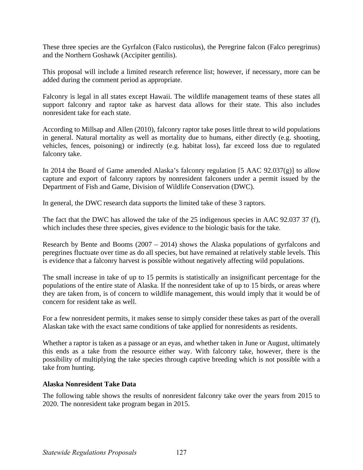These three species are the Gyrfalcon (Falco rusticolus), the Peregrine falcon (Falco peregrinus) and the Northern Goshawk (Accipiter gentilis).

This proposal will include a limited research reference list; however, if necessary, more can be added during the comment period as appropriate.

Falconry is legal in all states except Hawaii. The wildlife management teams of these states all support falconry and raptor take as harvest data allows for their state. This also includes nonresident take for each state.

According to Millsap and Allen (2010), falconry raptor take poses little threat to wild populations in general. Natural mortality as well as mortality due to humans, either directly (e.g. shooting, vehicles, fences, poisoning) or indirectly (e.g. habitat loss), far exceed loss due to regulated falconry take.

In 2014 the Board of Game amended Alaska's falconry regulation [5 AAC  $92.037(g)$ ] to allow capture and export of falconry raptors by nonresident falconers under a permit issued by the Department of Fish and Game, Division of Wildlife Conservation (DWC).

In general, the DWC research data supports the limited take of these 3 raptors.

The fact that the DWC has allowed the take of the 25 indigenous species in AAC 92.037 37 (f), which includes these three species, gives evidence to the biologic basis for the take.

Research by Bente and Booms (2007 – 2014) shows the Alaska populations of gyrfalcons and peregrines fluctuate over time as do all species, but have remained at relatively stable levels. This is evidence that a falconry harvest is possible without negatively affecting wild populations.

The small increase in take of up to 15 permits is statistically an insignificant percentage for the populations of the entire state of Alaska. If the nonresident take of up to 15 birds, or areas where they are taken from, is of concern to wildlife management, this would imply that it would be of concern for resident take as well.

For a few nonresident permits, it makes sense to simply consider these takes as part of the overall Alaskan take with the exact same conditions of take applied for nonresidents as residents.

Whether a raptor is taken as a passage or an eyas, and whether taken in June or August, ultimately this ends as a take from the resource either way. With falconry take, however, there is the possibility of multiplying the take species through captive breeding which is not possible with a take from hunting.

## **Alaska Nonresident Take Data**

The following table shows the results of nonresident falconry take over the years from 2015 to 2020. The nonresident take program began in 2015.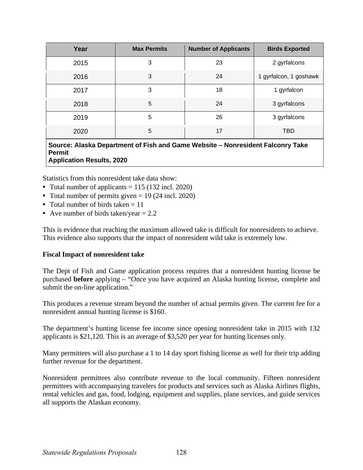| 2 gyrfalcons           |
|------------------------|
| 1 gyrfalcon, 1 goshawk |
| 1 gyrfalcon            |
| 3 gyrfalcons           |
| 3 gyrfalcons           |
| <b>TBD</b>             |
|                        |

**Source: Alaska Department of Fish and Game Website – Nonresident Falconry Take Permit Application Results, 2020** 

Statistics from this nonresident take data show:

- Total number of applicants  $= 115 (132 \text{ incl. } 2020)$
- Total number of permits given  $= 19$  (24 incl. 2020)
- Total number of birds taken  $= 11$
- Ave number of birds taken/year  $= 2.2$

This is evidence that reaching the maximum allowed take is difficult for nonresidents to achieve. This evidence also supports that the impact of nonresident wild take is extremely low.

#### **Fiscal Impact of nonresident take**

The Dept of Fish and Game application process requires that a nonresident hunting license be purchased **before** applying – "Once you have acquired an Alaska hunting license, complete and submit the on-line application."

 This produces a revenue stream beyond the number of actual permits given. The current fee for a nonresident annual hunting license is \$160.

The department's hunting license fee income since opening nonresident take in 2015 with 132 applicants is \$21,120. This is an average of \$3,520 per year for hunting licenses only.

Many permittees will also purchase a 1 to 14 day sport fishing license as well for their trip adding further revenue for the department.

Nonresident permittees also contribute revenue to the local community. Fifteen nonresident permittees with accompanying travelers for products and services such as Alaska Airlines flights, rental vehicles and gas, food, lodging, equipment and supplies, plane services, and guide services all supports the Alaskan economy.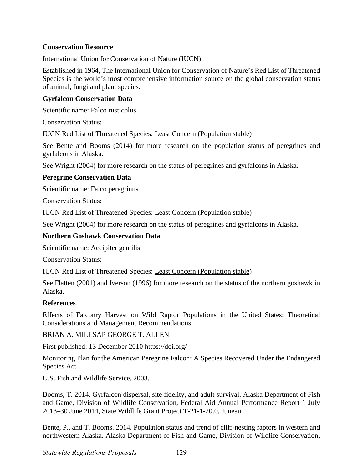#### **Conservation Resource**

International Union for Conservation of Nature (IUCN)

Established in 1964, The International Union for Conservation of Nature's Red List of Threatened Species is the world's most comprehensive information source on the global conservation status of animal, fungi and plant species.

#### **Gyrfalcon Conservation Data**

Scientific name: Falco rusticolus

Conservation Status:

IUCN Red List of Threatened Species: Least Concern (Population stable)

See Bente and Booms (2014) for more research on the population status of peregrines and gyrfalcons in Alaska.

See Wright (2004) for more research on the status of peregrines and gyrfalcons in Alaska.

#### **Peregrine Conservation Data**

Scientific name: Falco peregrinus

Conservation Status:

IUCN Red List of Threatened Species: Least Concern (Population stable)

See Wright (2004) for more research on the status of peregrines and gyrfalcons in Alaska.

#### **Northern Goshawk Conservation Data**

Scientific name: Accipiter gentilis

Conservation Status:

IUCN Red List of Threatened Species: Least Concern (Population stable)

See Flatten (2001) and Iverson (1996) for more research on the status of the northern goshawk in Alaska.

#### **References**

 Effects of Falconry Harvest on Wild Raptor Populations in the United States: Theoretical Considerations and Management Recommendations

BRIAN A. MILLSAP GEORGE T. ALLEN

First published: 13 December 2010 [https://doi.org/](https://doi.org)

Monitoring Plan for the American Peregrine Falcon: A Species Recovered Under the Endangered Species Act

U.S. Fish and Wildlife Service, 2003.

Booms, T. 2014. Gyrfalcon dispersal, site fidelity, and adult survival. Alaska Department of Fish and Game, Division of Wildlife Conservation, Federal Aid Annual Performance Report 1 July 2013–30 June 2014, State Wildlife Grant Project T-21-1-20.0, Juneau.

Bente, P., and T. Booms. 2014. Population status and trend of cliff-nesting raptors in western and northwestern Alaska. Alaska Department of Fish and Game, Division of Wildlife Conservation,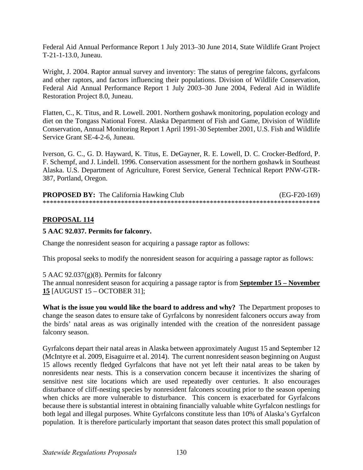Federal Aid Annual Performance Report 1 July 2013–30 June 2014, State Wildlife Grant Project T-21-1-13.0, Juneau.

Wright, J. 2004. Raptor annual survey and inventory: The status of peregrine falcons, gyrfalcons and other raptors, and factors influencing their populations. Division of Wildlife Conservation, Federal Aid Annual Performance Report 1 July 2003–30 June 2004, Federal Aid in Wildlife Restoration Project 8.0, Juneau.

Flatten, C., K. Titus, and R. Lowell. 2001. Northern goshawk monitoring, population ecology and diet on the Tongass National Forest. Alaska Department of Fish and Game, Division of Wildlife Conservation, Annual Monitoring Report 1 April 1991-30 September 2001, U.S. Fish and Wildlife Service Grant SE-4-2-6, Juneau.

Iverson, G. C., G. D. Hayward, K. Titus, E. DeGayner, R. E. Lowell, D. C. Crocker-Bedford, P. F. Schempf, and J. Lindell. 1996. Conservation assessment for the northern goshawk in Southeast Alaska. U.S. Department of Agriculture, Forest Service, General Technical Report PNW-GTR-387, Portland, Oregon.

| <b>PROPOSED BY:</b> The California Hawking Club | $(EG-F20-169)$ |
|-------------------------------------------------|----------------|
|                                                 |                |

#### **PROPOSAL 114**

#### **5 AAC 92.037. Permits for falconry.**

Change the nonresident season for acquiring a passage raptor as follows:

This proposal seeks to modify the nonresident season for acquiring a passage raptor as follows:

[5 AAC 92.037\(g\)\(8\). Permits for falconry](http://www.legis.state.ak.us/basis/aac.asp#5.92.037) 

The annual nonresident season for acquiring a passage raptor is from **September 15 – November 15** [AUGUST 15 – OCTOBER 31];

What is the issue you would like the board to address and why? The Department proposes to change the season dates to ensure take of Gyrfalcons by nonresident falconers occurs away from the birds' natal areas as was originally intended with the creation of the nonresident passage falconry season.

Gyrfalcons depart their natal areas in Alaska between approximately August 15 and September 12 (McIntyre et al. 2009, Eisaguirre et al. 2014). The current nonresident season beginning on August 15 allows recently fledged Gyrfalcons that have not yet left their natal areas to be taken by nonresidents near nests. This is a conservation concern because it incentivizes the sharing of sensitive nest site locations which are used repeatedly over centuries. It also encourages disturbance of cliff-nesting species by nonresident falconers scouting prior to the season opening when chicks are more vulnerable to disturbance. This concern is exacerbated for Gyrfalcons because there is substantial interest in obtaining financially valuable white Gyrfalcon nestlings for both legal and illegal purposes. White Gyrfalcons constitute less than 10% of Alaska's Gyrfalcon population. It is therefore particularly important that season dates protect this small population of